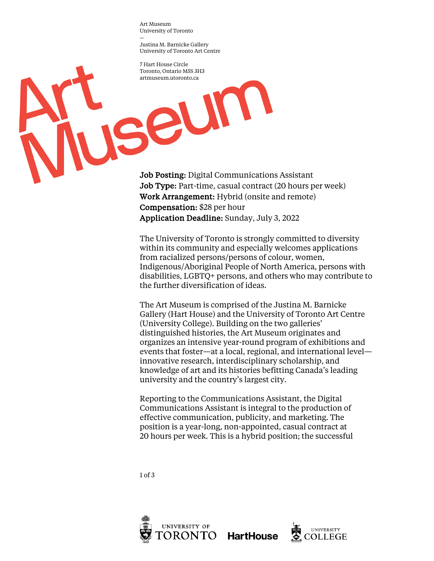Art Museum University of Toronto

— Justina M. Barnicke Gallery University of Toronto Art Centre

seum

7 Hart House Circle Toronto, Ontario M5S 3H3 artmuseum.utoronto.ca

Job Posting: Digital Communications Assistant Job Type: Part-time, casual contract (20 hours per week) Work Arrangement: Hybrid (onsite and remote) Compensation: \$28 per hour Application Deadline: Sunday, July 3, 2022

The University of Toronto is strongly committed to diversity within its community and especially welcomes applications from racialized persons/persons of colour, women, Indigenous/Aboriginal People of North America, persons with disabilities, LGBTQ+ persons, and others who may contribute to the further diversification of ideas.

The Art Museum is comprised of the Justina M. Barnicke Gallery (Hart House) and the University of Toronto Art Centre (University College). Building on the two galleries' distinguished histories, the Art Museum originates and organizes an intensive year-round program of exhibitions and events that foster—at a local, regional, and international level innovative research, interdisciplinary scholarship, and knowledge of art and its histories befitting Canada's leading university and the country's largest city.

Reporting to the Communications Assistant, the Digital Communications Assistant is integral to the production of effective communication, publicity, and marketing. The position is a year-long, non-appointed, casual contract at 20 hours per week. This is a hybrid position; the successful

1 of 3



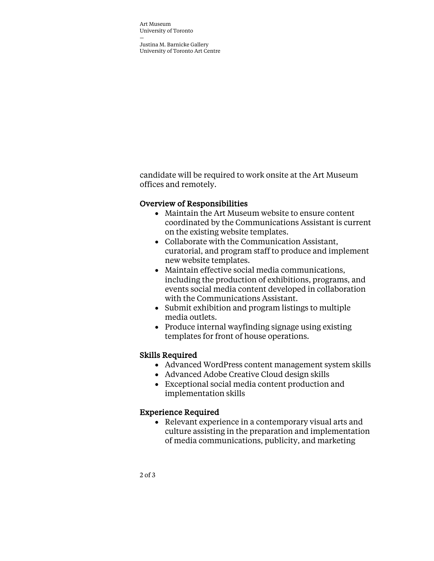Art Museum University of Toronto

— Justina M. Barnicke Gallery University of Toronto Art Centre

candidate will be required to work onsite at the Art Museum offices and remotely.

## Overview of Responsibilities

- Maintain the Art Museum website to ensure content coordinated by the Communications Assistant is current on the existing website templates.
- Collaborate with the Communication Assistant, curatorial, and program staff to produce and implement new website templates.
- Maintain effective social media communications, including the production of exhibitions, programs, and events social media content developed in collaboration with the Communications Assistant.
- Submit exhibition and program listings to multiple media outlets.
- Produce internal wayfinding signage using existing templates for front of house operations.

## Skills Required

- Advanced WordPress content management system skills
- Advanced Adobe Creative Cloud design skills
- Exceptional social media content production and implementation skills

## Experience Required

• Relevant experience in a contemporary visual arts and culture assisting in the preparation and implementation of media communications, publicity, and marketing